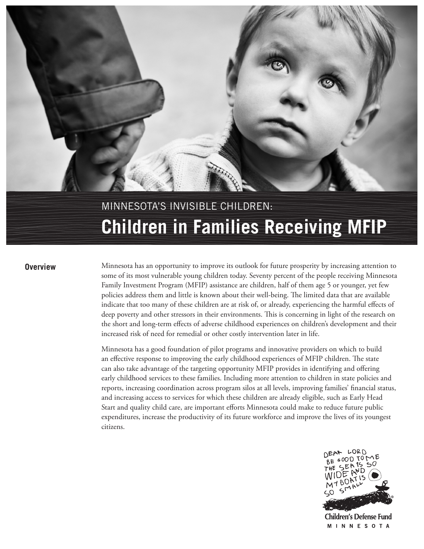# Minnesota's invisible children: **Children in Families Receiving MFIP**

**Overview** Minnesota has an opportunity to improve its outlook for future prosperity by increasing attention to some of its most vulnerable young children today. Seventy percent of the people receiving Minnesota Family Investment Program (MFIP) assistance are children, half of them age 5 or younger, yet few policies address them and little is known about their well-being. The limited data that are available indicate that too many of these children are at risk of, or already, experiencing the harmful effects of deep poverty and other stressors in their environments. This is concerning in light of the research on the short and long-term effects of adverse childhood experiences on children's development and their increased risk of need for remedial or other costly intervention later in life.

> Minnesota has a good foundation of pilot programs and innovative providers on which to build an effective response to improving the early childhood experiences of MFIP children. The state can also take advantage of the targeting opportunity MFIP provides in identifying and offering early childhood services to these families. Including more attention to children in state policies and reports, increasing coordination across program silos at all levels, improving families' financial status, and increasing access to services for which these children are already eligible, such as Early Head Start and quality child care, are important efforts Minnesota could make to reduce future public expenditures, increase the productivity of its future workforce and improve the lives of its youngest citizens.



**Children's Defense Fund MINNESOTA**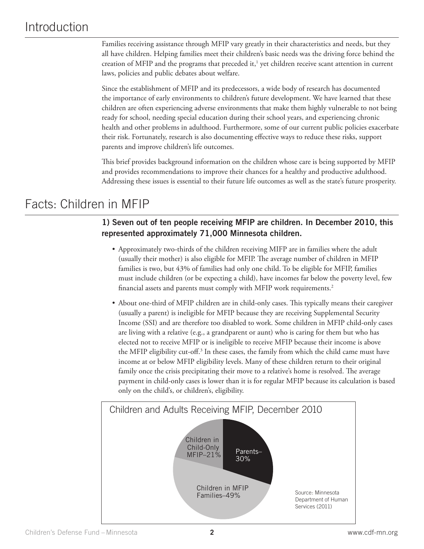### Introduction

Families receiving assistance through MFIP vary greatly in their characteristics and needs, but they all have children. Helping families meet their children's basic needs was the driving force behind the creation of MFIP and the programs that preceded it,<sup>1</sup> yet children receive scant attention in current laws, policies and public debates about welfare.

Since the establishment of MFIP and its predecessors, a wide body of research has documented the importance of early environments to children's future development. We have learned that these children are often experiencing adverse environments that make them highly vulnerable to not being ready for school, needing special education during their school years, and experiencing chronic health and other problems in adulthood. Furthermore, some of our current public policies exacerbate their risk. Fortunately, research is also documenting effective ways to reduce these risks, support parents and improve children's life outcomes.

This brief provides background information on the children whose care is being supported by MFIP and provides recommendations to improve their chances for a healthy and productive adulthood. Addressing these issues is essential to their future life outcomes as well as the state's future prosperity.

### Facts: Children in MFIP

### **1) Seven out of ten people receiving MFIP are children. In December 2010, this represented approximately 71,000 Minnesota children.**

- • Approximately two-thirds of the children receiving MIFP are in families where the adult (usually their mother) is also eligible for MFIP. The average number of children in MFIP families is two, but 43% of families had only one child. To be eligible for MFIP, families must include children (or be expecting a child), have incomes far below the poverty level, few financial assets and parents must comply with MFIP work requirements.<sup>2</sup>
- About one-third of MFIP children are in child-only cases. This typically means their caregiver (usually a parent) is ineligible for MFIP because they are receiving Supplemental Security Income (SSI) and are therefore too disabled to work. Some children in MFIP child-only cases are living with a relative (e.g., a grandparent or aunt) who is caring for them but who has elected not to receive MFIP or is ineligible to receive MFIP because their income is above the MFIP eligibility cut-off.<sup>3</sup> In these cases, the family from which the child came must have income at or below MFIP eligibility levels. Many of these children return to their original family once the crisis precipitating their move to a relative's home is resolved. The average payment in child-only cases is lower than it is for regular MFIP because its calculation is based only on the child's, or children's, eligibility.

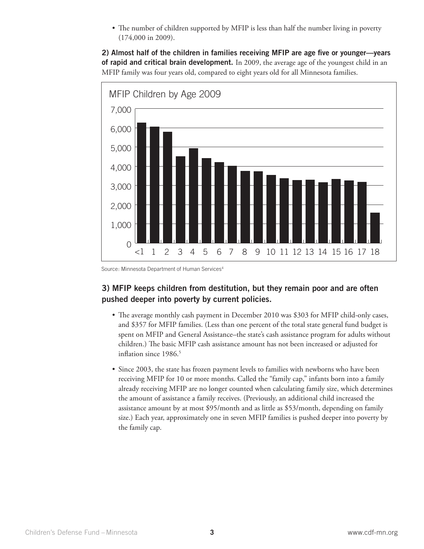• The number of children supported by MFIP is less than half the number living in poverty (174,000 in 2009).

**2) Almost half of the children in families receiving MFIP are age five or younger––years of rapid and critical brain development.** In 2009, the average age of the youngest child in an MFIP family was four years old, compared to eight years old for all Minnesota families.



Source: Minnesota Department of Human Services<sup>4</sup>

#### **3) MFIP keeps children from destitution, but they remain poor and are often pushed deeper into poverty by current policies.**

- The average monthly cash payment in December 2010 was \$303 for MFIP child-only cases, and \$357 for MFIP families. (Less than one percent of the total state general fund budget is spent on MFIP and General Assistance–the state's cash assistance program for adults without children.) The basic MFIP cash assistance amount has not been increased or adjusted for inflation since 1986.<sup>5</sup>
- Since 2003, the state has frozen payment levels to families with newborns who have been receiving MFIP for 10 or more months. Called the "family cap," infants born into a family already receiving MFIP are no longer counted when calculating family size, which determines the amount of assistance a family receives. (Previously, an additional child increased the assistance amount by at most \$95/month and as little as \$53/month, depending on family size.) Each year, approximately one in seven MFIP families is pushed deeper into poverty by the family cap.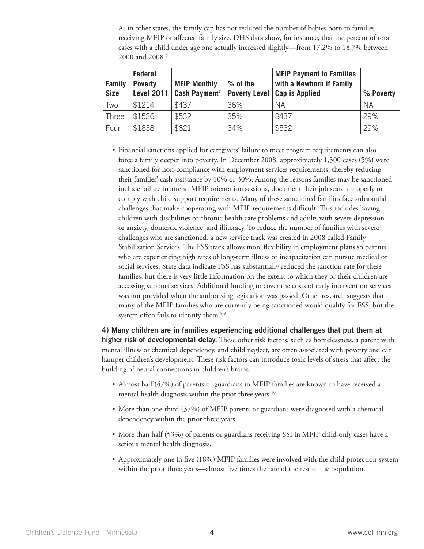As in other states, the family cap has not reduced the number of babies born to families receiving MFIP or affected family size. DHS data show, for instance, that the percent of total cases with a child under age one actually increased slightly—from 17.2% to 18.7% between 2000 and 2008.<sup>6</sup>

| <b>Family</b><br><b>Size</b> | <b>Federal</b><br><b>Poverty</b><br>Level 2011 | <b>MFIP Monthly</b><br>Cash Payment <sup>7</sup> | % of the | <b>MFIP Payment to Families</b><br>with a Newborn if Family<br>Poverty Level   Cap is Applied | % Poverty |
|------------------------------|------------------------------------------------|--------------------------------------------------|----------|-----------------------------------------------------------------------------------------------|-----------|
| Two                          | \$1214                                         | \$437                                            | 36%      | - NA                                                                                          | <b>NA</b> |
| Three                        | \$1526                                         | \$532                                            | 35%      | \$437                                                                                         | 29%       |
| Four                         | \$1838                                         | \$621                                            | 34%      | \$532                                                                                         | 29%       |

• Financial sanctions applied for caregivers' failure to meet program requirements can also force a family deeper into poverty. In December 2008, approximately 1,300 cases (5%) were sanctioned for non-compliance with employment services requirements, thereby reducing their families' cash assistance by 10% or 30%. Among the reasons families may be sanctioned include failure to attend MFIP orientation sessions, document their job search properly or comply with child support requirements. Many of these sanctioned families face substantial challenges that make cooperating with MFIP requirements difficult. This includes having children with disabilities or chronic health care problems and adults with severe depression or anxiety, domestic violence, and illiteracy. To reduce the number of families with severe challenges who are sanctioned, a new service track was created in 2008 called Family Stabilization Services. The FSS track allows more flexibility in employment plans so parents who are experiencing high rates of long-term illness or incapacitation can pursue medical or social services. State data indicate FSS has substantially reduced the sanction rate for these families, but there is very little information on the extent to which they or their children are accessing support services. Additional funding to cover the costs of early intervention services was not provided when the authorizing legislation was passed. Other research suggests that many of the MFIP families who are currently being sanctioned would qualify for FSS, but the system often fails to identify them.<sup>8,9</sup>

**4) Many children are in families experiencing additional challenges that put them at higher risk of developmental delay.** These other risk factors, such as homelessness, a parent with mental illness or chemical dependency, and child neglect, are often associated with poverty and can hamper children's development. These risk factors can introduce toxic levels of stress that affect the building of neural connections in children's brains.

- Almost half (47%) of parents or guardians in MFIP families are known to have received a mental health diagnosis within the prior three years.<sup>10</sup>
- More than one-third (37%) of MFIP parents or guardians were diagnosed with a chemical dependency within the prior three years.
- More than half (53%) of parents or guardians receiving SSI in MFIP child-only cases have a serious mental health diagnosis.
- Approximately one in five (18%) MFIP families were involved with the child protection system within the prior three years—almost five times the rate of the rest of the population.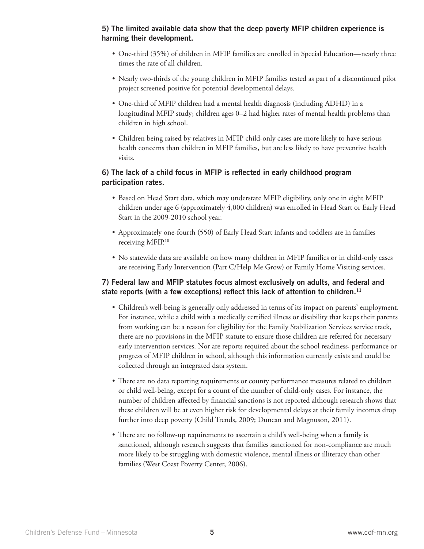#### **5) The limited available data show that the deep poverty MFIP children experience is harming their development.**

- • One-third (35%) of children in MFIP families are enrolled in Special Education—nearly three times the rate of all children.
- • Nearly two-thirds of the young children in MFIP families tested as part of a discontinued pilot project screened positive for potential developmental delays.
- One-third of MFIP children had a mental health diagnosis (including ADHD) in a longitudinal MFIP study; children ages 0–2 had higher rates of mental health problems than children in high school.
- • Children being raised by relatives in MFIP child-only cases are more likely to have serious health concerns than children in MFIP families, but are less likely to have preventive health visits.

#### **6) The lack of a child focus in MFIP is reflected in early childhood program participation rates.**

- • Based on Head Start data, which may understate MFIP eligibility, only one in eight MFIP children under age 6 (approximately 4,000 children) was enrolled in Head Start or Early Head Start in the 2009-2010 school year.
- • Approximately one-fourth (550) of Early Head Start infants and toddlers are in families receiving MFIP.<sup>10</sup>
- No statewide data are available on how many children in MFIP families or in child-only cases are receiving Early Intervention (Part C/Help Me Grow) or Family Home Visiting services.

#### **7) Federal law and MFIP statutes focus almost exclusively on adults, and federal and state reports (with a few exceptions) reflect this lack of attention to children.11**

- • Children's well-being is generally only addressed in terms of its impact on parents' employment. For instance, while a child with a medically certified illness or disability that keeps their parents from working can be a reason for eligibility for the Family Stabilization Services service track, there are no provisions in the MFIP statute to ensure those children are referred for necessary early intervention services. Nor are reports required about the school readiness, performance or progress of MFIP children in school, although this information currently exists and could be collected through an integrated data system.
- There are no data reporting requirements or county performance measures related to children or child well-being, except for a count of the number of child-only cases. For instance, the number of children affected by financial sanctions is not reported although research shows that these children will be at even higher risk for developmental delays at their family incomes drop further into deep poverty (Child Trends, 2009; Duncan and Magnuson, 2011).
- There are no follow-up requirements to ascertain a child's well-being when a family is sanctioned, although research suggests that families sanctioned for non-compliance are much more likely to be struggling with domestic violence, mental illness or illiteracy than other families (West Coast Poverty Center, 2006).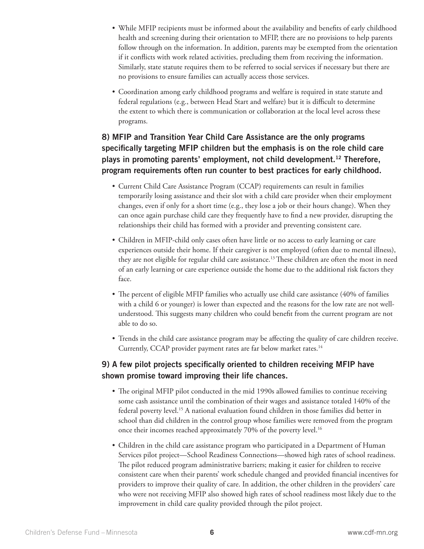- • While MFIP recipients must be informed about the availability and benefits of early childhood health and screening during their orientation to MFIP, there are no provisions to help parents follow through on the information. In addition, parents may be exempted from the orientation if it conflicts with work related activities, precluding them from receiving the information. Similarly, state statute requires them to be referred to social services if necessary but there are no provisions to ensure families can actually access those services.
- • Coordination among early childhood programs and welfare is required in state statute and federal regulations (e.g., between Head Start and welfare) but it is difficult to determine the extent to which there is communication or collaboration at the local level across these programs.

### **8) MFIP and Transition Year Child Care Assistance are the only programs specifically targeting MFIP children but the emphasis is on the role child care plays in promoting parents' employment, not child development.12 Therefore, program requirements often run counter to best practices for early childhood.**

- Current Child Care Assistance Program (CCAP) requirements can result in families temporarily losing assistance and their slot with a child care provider when their employment changes, even if only for a short time (e.g., they lose a job or their hours change). When they can once again purchase child care they frequently have to find a new provider, disrupting the relationships their child has formed with a provider and preventing consistent care.
- • Children in MFIP-child only cases often have little or no access to early learning or care experiences outside their home. If their caregiver is not employed (often due to mental illness), they are not eligible for regular child care assistance.<sup>13</sup> These children are often the most in need of an early learning or care experience outside the home due to the additional risk factors they face.
- The percent of eligible MFIP families who actually use child care assistance (40% of families with a child 6 or younger) is lower than expected and the reasons for the low rate are not wellunderstood. This suggests many children who could benefit from the current program are not able to do so.
- Trends in the child care assistance program may be affecting the quality of care children receive. Currently, CCAP provider payment rates are far below market rates.<sup>14</sup>

#### **9) A few pilot projects specifically oriented to children receiving MFIP have shown promise toward improving their life chances.**

- The original MFIP pilot conducted in the mid 1990s allowed families to continue receiving some cash assistance until the combination of their wages and assistance totaled 140% of the federal poverty level.15 A national evaluation found children in those families did better in school than did children in the control group whose families were removed from the program once their incomes reached approximately 70% of the poverty level.<sup>16</sup>
- Children in the child care assistance program who participated in a Department of Human Services pilot project—School Readiness Connections—showed high rates of school readiness. The pilot reduced program administrative barriers; making it easier for children to receive consistent care when their parents' work schedule changed and provided financial incentives for providers to improve their quality of care. In addition, the other children in the providers' care who were not receiving MFIP also showed high rates of school readiness most likely due to the improvement in child care quality provided through the pilot project.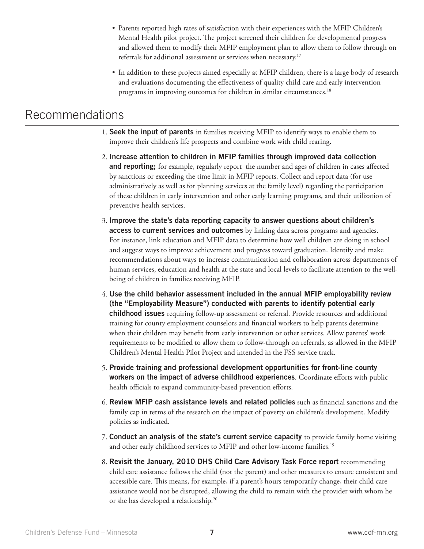- • Parents reported high rates of satisfaction with their experiences with the MFIP Children's Mental Health pilot project. The project screened their children for developmental progress and allowed them to modify their MFIP employment plan to allow them to follow through on referrals for additional assessment or services when necessary.<sup>17</sup>
- • In addition to these projects aimed especially at MFIP children, there is a large body of research and evaluations documenting the effectiveness of quality child care and early intervention programs in improving outcomes for children in similar circumstances.<sup>18</sup>

### Recommendations

- 1. **Seek the input of parents** in families receiving MFIP to identify ways to enable them to improve their children's life prospects and combine work with child rearing.
- 2. **Increase attention to children in MFIP families through improved data collection and reporting;** for example, regularly report the number and ages of children in cases affected by sanctions or exceeding the time limit in MFIP reports. Collect and report data (for use administratively as well as for planning services at the family level) regarding the participation of these children in early intervention and other early learning programs, and their utilization of preventive health services.
- 3. **Improve the state's data reporting capacity to answer questions about children's access to current services and outcomes** by linking data across programs and agencies. For instance, link education and MFIP data to determine how well children are doing in school and suggest ways to improve achievement and progress toward graduation. Identify and make recommendations about ways to increase communication and collaboration across departments of human services, education and health at the state and local levels to facilitate attention to the wellbeing of children in families receiving MFIP.
- 4. **Use the child behavior assessment included in the annual MFIP employability review (the "Employability Measure") conducted with parents to identify potential early childhood issues** requiring follow-up assessment or referral. Provide resources and additional training for county employment counselors and financial workers to help parents determine when their children may benefit from early intervention or other services. Allow parents' work requirements to be modified to allow them to follow-through on referrals, as allowed in the MFIP Children's Mental Health Pilot Project and intended in the FSS service track.
- 5. **Provide training and professional development opportunities for front-line county workers on the impact of adverse childhood experiences**. Coordinate efforts with public health officials to expand community-based prevention efforts.
- 6. **Review MFIP cash assistance levels and related policies** such as financial sanctions and the family cap in terms of the research on the impact of poverty on children's development. Modify policies as indicated.
- 7. **Conduct an analysis of the state's current service capacity** to provide family home visiting and other early childhood services to MFIP and other low-income families.<sup>19</sup>
- 8. **Revisit the January, 2010 DHS Child Care Advisory Task Force report** recommending child care assistance follows the child (not the parent) and other measures to ensure consistent and accessible care. This means, for example, if a parent's hours temporarily change, their child care assistance would not be disrupted, allowing the child to remain with the provider with whom he or she has developed a relationship.20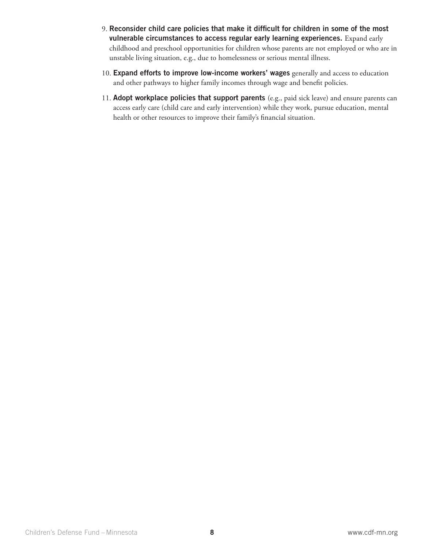- 9. **Reconsider child care policies that make it difficult for children in some of the most vulnerable circumstances to access regular early learning experiences.** Expand early childhood and preschool opportunities for children whose parents are not employed or who are in unstable living situation, e.g., due to homelessness or serious mental illness.
- 10. **Expand efforts to improve low-income workers' wages** generally and access to education and other pathways to higher family incomes through wage and benefit policies.
- 11. **Adopt workplace policies that support parents** (e.g., paid sick leave) and ensure parents can access early care (child care and early intervention) while they work, pursue education, mental health or other resources to improve their family's financial situation.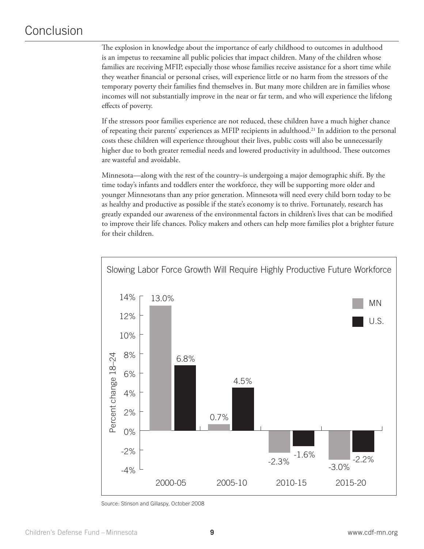### Conclusion

The explosion in knowledge about the importance of early childhood to outcomes in adulthood is an impetus to reexamine all public policies that impact children. Many of the children whose families are receiving MFIP, especially those whose families receive assistance for a short time while they weather financial or personal crises, will experience little or no harm from the stressors of the temporary poverty their families find themselves in. But many more children are in families whose incomes will not substantially improve in the near or far term, and who will experience the lifelong effects of poverty.

If the stressors poor families experience are not reduced, these children have a much higher chance of repeating their parents' experiences as MFIP recipients in adulthood.21 In addition to the personal costs these children will experience throughout their lives, public costs will also be unnecessarily higher due to both greater remedial needs and lowered productivity in adulthood. These outcomes are wasteful and avoidable.

Minnesota—along with the rest of the country–is undergoing a major demographic shift. By the time today's infants and toddlers enter the workforce, they will be supporting more older and younger Minnesotans than any prior generation. Minnesota will need every child born today to be as healthy and productive as possible if the state's economy is to thrive. Fortunately, research has greatly expanded our awareness of the environmental factors in children's lives that can be modified to improve their life chances. Policy makers and others can help more families plot a brighter future for their children.



Source: Stinson and Gillaspy, October 2008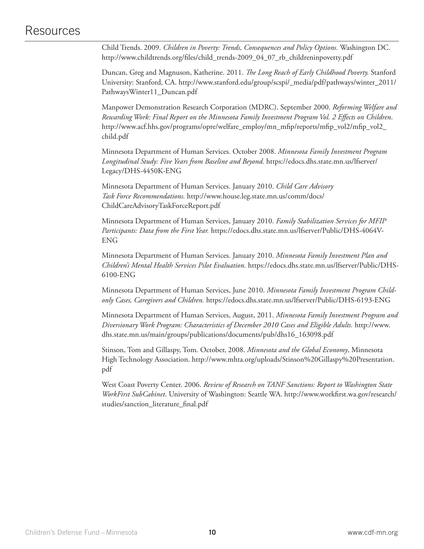### Resources

Child Trends. 2009. *Children in Poverty: Trends, Consequences and Policy Options.* Washington DC. http://www.childtrends.org/files/child\_trends-2009\_04\_07\_rb\_childreninpoverty.pdf

Duncan, Greg and Magnuson, Katherine. 2011. *The Long Reach of Early Childhood Poverty.* Stanford University: Stanford, CA. http://www.stanford.edu/group/scspi/\_media/pdf/pathways/winter\_2011/ PathwaysWinter11\_Duncan.pdf

Manpower Demonstration Research Corporation (MDRC). September 2000. *Reforming Welfare and Rewarding Work: Final Report on the Minnesota Family Investment Program Vol. 2 Effects on Children*. http://www.acf.hhs.gov/programs/opre/welfare\_employ/mn\_mfip/reports/mfip\_vol2/mfip\_vol2\_ child.pdf

Minnesota Department of Human Services. October 2008. *Minnesota Family Investment Program Longitudinal Study: Five Years from Baseline and Beyond.* https://edocs.dhs.state.mn.us/lfserver/ Legacy/DHS-4450K-ENG

Minnesota Department of Human Services. January 2010. *Child Care Advisory Task Force Recommendations.* http://www.house.leg.state.mn.us/comm/docs/ ChildCareAdvisoryTaskForceReport.pdf

Minnesota Department of Human Services, January 2010. *Family Stabilization Services for MFIP Participants: Data from the First Year.* https://edocs.dhs.state.mn.us/lfserver/Public/DHS-4064V-ENG

Minnesota Department of Human Services. January 2010. *Minnesota Family Investment Plan and Children's Mental Health Services Pilot Evaluation.* https://edocs.dhs.state.mn.us/lfserver/Public/DHS-6100-ENG

Minnesota Department of Human Services, June 2010. *Minnesota Family Investment Program Childonly Cases, Caregivers and Children.* https://edocs.dhs.state.mn.us/lfserver/Public/DHS-6193-ENG

Minnesota Department of Human Services, August, 2011. *Minnesota Family Investment Program and Diversionary Work Program: Characteristics of December 2010 Cases and Eligible Adults.* http://www. dhs.state.mn.us/main/groups/publications/documents/pub/dhs16\_163098.pdf

Stinson, Tom and Gillaspy, Tom. October, 2008. *Minnesota and the Global Economy*, Minnesota High Technology Association. http://www.mhta.org/uploads/Stinson%20Gillaspy%20Presentation. pdf

West Coast Poverty Center. 2006. *Review of Research on TANF Sanctions: Report to Washington State WorkFirst SubCabinet*. University of Washington: Seattle WA. http://www.workfirst.wa.gov/research/ studies/sanction\_literature\_final.pdf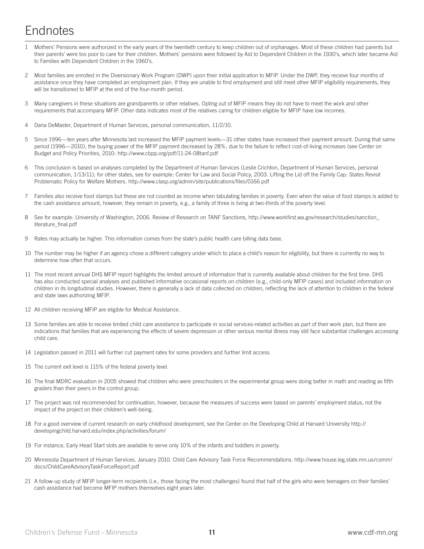## **Endnotes**

- 1 Mothers' Pensions were authorized in the early years of the twentieth century to keep children out of orphanages. Most of these children had parents but their parents' were too poor to care for their children. Mothers' pensions were followed by Aid to Dependent Children in the 1930's, which later became Aid to Families with Dependent Children in the 1960's.
- 2 Most families are enrolled in the Diversionary Work Program (DWP) upon their initial application to MFIP. Under the DWP, they receive four months of assistance once they have completed an employment plan. If they are unable to find employment and still meet other MFIP eligibility requirements, they will be transitioned to MFIP at the end of the four-month period.
- 3 Many caregivers in these situations are grandparents or other relatives. Opting out of MFIP means they do not have to meet the work and other requirements that accompany MFIP. Other data indicates most of the relatives caring for children eligible for MFIP have low incomes.
- 4 Dana DeMaster, Department of Human Services, personal communication, 11/2/10.
- 5 Since 1996—ten years after Minnesota last increased the MFIP payment levels—31 other states have increased their payment amount. During that same period (1996—2010), the buying power of the MFIP payment decreased by 28%, due to the failure to reflect cost-of-living increases (see Center on Budget and Policy Priorities, 2010: http://www.cbpp.org/pdf/11-24-08tanf.pdf
- 6 This conclusion is based on analyses completed by the Department of Human Services (Leslie Crichton, Department of Human Services, personal communication, 1/13/11); for other states, see for example: Center for Law and Social Policy, 2003. Lifting the Lid off the Family Cap: States Revisit Problematic Policy for Welfare Mothers. http://www.clasp.org/admin/site/publications/files/0166.pdf
- 7 Families also receive food stamps but these are not counted as income when tabulating families in poverty. Even when the value of food stamps is added to the cash assistance amount, however, they remain in poverty, e.g., a family of three is living at two-thirds of the poverty level.
- 8 See for example: University of Washington, 2006. Review of Research on TANF Sanctions, http://www.workfirst.wa.gov/research/studies/sanction\_ literature\_final.pdf
- 9 Rates may actually be higher. This information comes from the state's public health care billing data base.
- 10 The number may be higher if an agency chose a different category under which to place a child's reason for eligibility, but there is currently no way to determine how often that occurs.
- 11 The most recent annual DHS MFIP report highlights the limited amount of information that is currently available about children for the first time. DHS has also conducted special analyses and published informative occasional reports on children (e.g., child-only MFIP cases) and included information on children in its longitudinal studies. However, there is generally a lack of data collected on children, reflecting the lack of attention to children in the federal and state laws authorizing MFIP.
- 12 All children receiving MFIP are eligible for Medical Assistance.
- 13 Some families are able to receive limited child care assistance to participate in social services-related activities as part of their work plan, but there are indications that families that are experiencing the effects of severe depression or other serious mental illness may still face substantial challenges accessing child care.
- 14 Legislation passed in 2011 will further cut payment rates for some providers and further limit access.
- 15 The current exit level is 115% of the federal poverty level.
- 16 The final MDRC evaluation in 2005 showed that children who were preschoolers in the experimental group were doing better in math and reading as fifth graders than their peers in the control group.
- 17 The project was not recommended for continuation, however, because the measures of success were based on parents' employment status, not the impact of the project on their children's well-being.
- 18 For a good overview of current research on early childhood development, see the Center on the Developing Child at Harvard University http:// developingchild.harvard.edu/index.php/activities/forum/
- 19 For instance, Early Head Start slots are available to serve only 10% of the infants and toddlers in poverty.
- 20 Minnesota Department of Human Services. January 2010. Child Care Advisory Task Force Recommendations. http://www.house.leg.state.mn.us/comm/ docs/ChildCareAdvisoryTaskForceReport.pdf
- 21 A follow-up study of MFIP longer-term recipients (i.e., those facing the most challenges) found that half of the girls who were teenagers on their families' cash assistance had become MFIP mothers themselves eight years later.